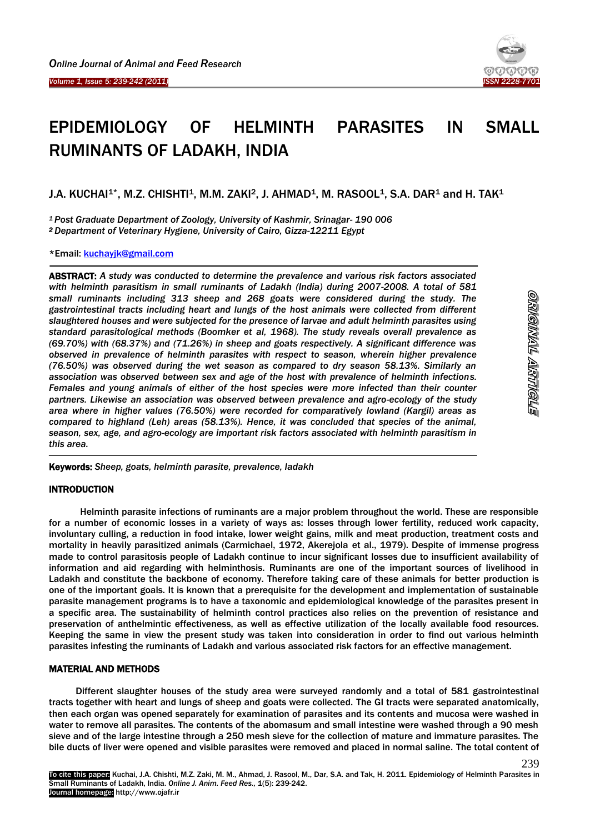

# EPIDEMIOLOGY OF HELMINTH PARASITES IN SMALL RUMINANTS OF LADAKH, INDIA

J.A. KUCHAI<sup>1\*</sup>, M.Z. CHISHTI<sup>1</sup>, M.M. ZAKI<sup>2</sup>, J. AHMAD<sup>1</sup>, M. RASOOL<sup>1</sup>, S.A. DAR<sup>1</sup> and H. TAK<sup>1</sup>

*<sup>1</sup>Post Graduate Department of Zoology, University of Kashmir, Srinagar- 190 006 <sup>2</sup>Department of Veterinary Hygiene, University of Cairo, Gizza-12211 Egypt*

\*Email: [kuchayjk@gmail.com](mailto:kuchayjk@gmail.com)

Ī

<u>.</u>

-

ABSTRACT: *A study was conducted to determine the prevalence and various risk factors associated with helminth parasitism in small ruminants of Ladakh (India) during 2007-2008. A total of 581 small ruminants including 313 sheep and 268 goats were considered during the study. The gastrointestinal tracts including heart and lungs of the host animals were collected from different slaughtered houses and were subjected for the presence of larvae and adult helminth parasites using standard parasitological methods (Boomker et al, 1968). The study reveals overall prevalence as (69.70%) with (68.37%) and (71.26%) in sheep and goats respectively. A significant difference was observed in prevalence of helminth parasites with respect to season, wherein higher prevalence (76.50%) was observed during the wet season as compared to dry season 58.13%. Similarly an association was observed between sex and age of the host with prevalence of helminth infections. Females and young animals of either of the host species were more infected than their counter partners. Likewise an association was observed between prevalence and agro-ecology of the study area where in higher values (76.50%) were recorded for comparatively lowland (Kargil) areas as compared to highland (Leh) areas (58.13%). Hence, it was concluded that species of the animal, season, sex, age, and agro-ecology are important risk factors associated with helminth parasitism in this area.*

Keywords: *Sheep, goats, helminth parasite, prevalence, ladakh*

# **INTRODUCTION**

Helminth parasite infections of ruminants are a major problem throughout the world. These are responsible for a number of economic losses in a variety of ways as: losses through lower fertility, reduced work capacity, involuntary culling, a reduction in food intake, lower weight gains, milk and meat production, treatment costs and mortality in heavily parasitized animals (Carmichael, 1972, Akerejola et al., 1979). Despite of immense progress made to control parasitosis people of Ladakh continue to incur significant losses due to insufficient availability of information and aid regarding with helminthosis. Ruminants are one of the important sources of livelihood in Ladakh and constitute the backbone of economy. Therefore taking care of these animals for better production is one of the important goals. It is known that a prerequisite for the development and implementation of sustainable parasite management programs is to have a taxonomic and epidemiological knowledge of the parasites present in a specific area. The sustainability of helminth control practices also relies on the prevention of resistance and preservation of anthelmintic effectiveness, as well as effective utilization of the locally available food resources. Keeping the same in view the present study was taken into consideration in order to find out various helminth parasites infesting the ruminants of Ladakh and various associated risk factors for an effective management.

# MATERIAL AND METHODS

Different slaughter houses of the study area were surveyed randomly and a total of 581 gastrointestinal tracts together with heart and lungs of sheep and goats were collected. The GI tracts were separated anatomically, then each organ was opened separately for examination of parasites and its contents and mucosa were washed in water to remove all parasites. The contents of the abomasum and small intestine were washed through a 90 mesh sieve and of the large intestine through a 250 mesh sieve for the collection of mature and immature parasites. The bile ducts of liver were opened and visible parasites were removed and placed in normal saline. The total content of

239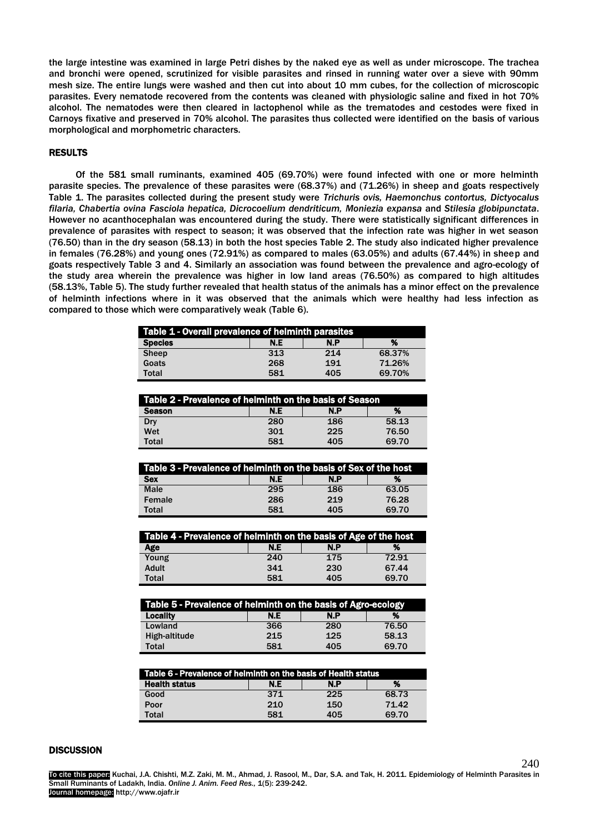the large intestine was examined in large Petri dishes by the naked eye as well as under microscope. The trachea and bronchi were opened, scrutinized for visible parasites and rinsed in running water over a sieve with 90mm mesh size. The entire lungs were washed and then cut into about 10 mm cubes, for the collection of microscopic parasites. Every nematode recovered from the contents was cleaned with physiologic saline and fixed in hot 70% alcohol. The nematodes were then cleared in lactophenol while as the trematodes and cestodes were fixed in Carnoys fixative and preserved in 70% alcohol. The parasites thus collected were identified on the basis of various morphological and morphometric characters.

## RESULTS

Of the 581 small ruminants, examined 405 (69.70%) were found infected with one or more helminth parasite species. The prevalence of these parasites were (68.37%) and (71.26%) in sheep and goats respectively Table 1. The parasites collected during the present study were *Trichuris ovis, Haemonchus contortus, Dictyocalus filaria, Chabertia ovina Fasciola hepatica, Dicrocoelium dendriticum, Moniezia expansa* and *Stilesia globipunctata*. However no acanthocephalan was encountered during the study. There were statistically significant differences in prevalence of parasites with respect to season; it was observed that the infection rate was higher in wet season (76.50) than in the dry season (58.13) in both the host species Table 2. The study also indicated higher prevalence in females (76.28%) and young ones (72.91%) as compared to males (63.05%) and adults (67.44%) in sheep and goats respectively Table 3 and 4. Similarly an association was found between the prevalence and agro-ecology of the study area wherein the prevalence was higher in low land areas (76.50%) as compared to high altitudes (58.13%, Table 5). The study further revealed that health status of the animals has a minor effect on the prevalence of helminth infections where in it was observed that the animals which were healthy had less infection as compared to those which were comparatively weak (Table 6).

| Table 1 - Overall prevalence of helminth parasites |     |     |        |
|----------------------------------------------------|-----|-----|--------|
| <b>Species</b>                                     | N.E | N.P | %      |
| <b>Sheep</b>                                       | 313 | 214 | 68.37% |
| Goats                                              | 268 | 191 | 71.26% |
| Total                                              | 581 | 405 | 69.70% |

| Table 2 - Prevalence of helminth on the basis of Season |     |     |       |
|---------------------------------------------------------|-----|-----|-------|
| <b>Season</b>                                           | N.E | N.P | %     |
| Dry                                                     | 280 | 186 | 58.13 |
| Wet                                                     | 301 | 225 | 76.50 |
| <b>Total</b>                                            | 581 | 405 | 69.70 |

| Table 3 - Prevalence of helminth on the basis of Sex of the host |     |     |       |
|------------------------------------------------------------------|-----|-----|-------|
| <b>Sex</b>                                                       | N.E | N.P | %     |
| Male                                                             | 295 | 186 | 63.05 |
| Female                                                           | 286 | 219 | 76.28 |
| Total                                                            | 581 | 405 | 69.70 |

| Table 4 - Prevalence of helminth on the basis of Age of the host |     |     |       |
|------------------------------------------------------------------|-----|-----|-------|
| Age                                                              | N.E | N.P | %     |
| Young                                                            | 240 | 175 | 72.91 |
| Adult                                                            | 341 | 230 | 67.44 |
| Total                                                            | 581 | 405 | 69.70 |

| Table 5 - Prevalence of helminth on the basis of Agro-ecology |     |     |       |
|---------------------------------------------------------------|-----|-----|-------|
| <b>Locality</b>                                               | N.E | N.P | %     |
| Lowland                                                       | 366 | 280 | 76.50 |
| High-altitude                                                 | 215 | 125 | 58.13 |
| <b>Total</b>                                                  | 581 | 405 | 69.70 |

| Table 6 - Prevalence of helminth on the basis of Health status |     |     |       |
|----------------------------------------------------------------|-----|-----|-------|
| <b>Health status</b>                                           | N.E | N.P | %     |
| Good                                                           | 371 | 225 | 68.73 |
| Poor                                                           | 210 | 150 | 71.42 |
| Total                                                          | 581 | 405 | 69.70 |

### **DISCUSSION**

240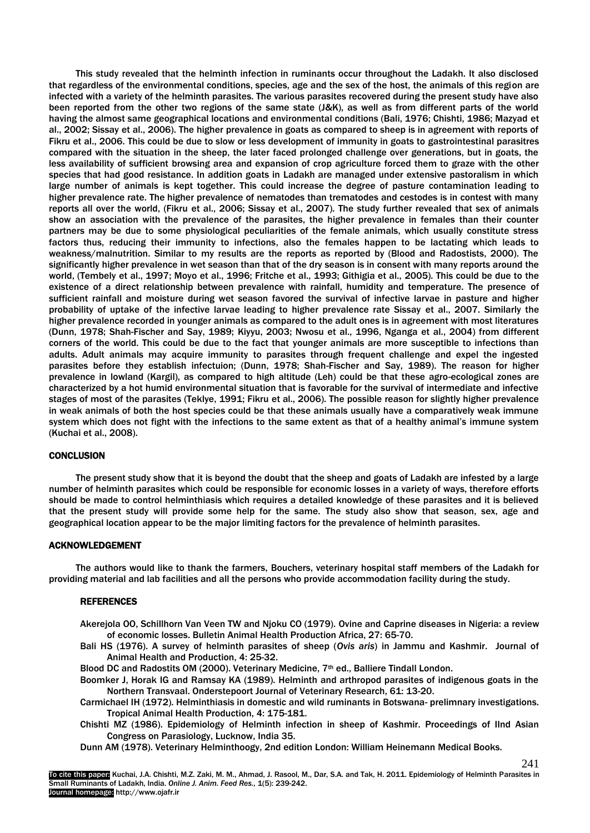This study revealed that the helminth infection in ruminants occur throughout the Ladakh. It also disclosed that regardless of the environmental conditions, species, age and the sex of the host, the animals of this region are infected with a variety of the helminth parasites. The various parasites recovered during the present study have also been reported from the other two regions of the same state (J&K), as well as from different parts of the world having the almost same geographical locations and environmental conditions (Bali, 1976; Chishti, 1986; Mazyad et al., 2002; Sissay et al., 2006). The higher prevalence in goats as compared to sheep is in agreement with reports of Fikru et al., 2006. This could be due to slow or less development of immunity in goats to gastrointestinal parasitres compared with the situation in the sheep, the later faced prolonged challenge over generations, but in goats, the less availability of sufficient browsing area and expansion of crop agriculture forced them to graze with the other species that had good resistance. In addition goats in Ladakh are managed under extensive pastoralism in which large number of animals is kept together. This could increase the degree of pasture contamination leading to higher prevalence rate. The higher prevalence of nematodes than trematodes and cestodes is in contest with many reports all over the world, (Fikru et al., 2006; Sissay et al., 2007). The study further revealed that sex of animals show an association with the prevalence of the parasites, the higher prevalence in females than their counter partners may be due to some physiological peculiarities of the female animals, which usually constitute stress factors thus, reducing their immunity to infections, also the females happen to be lactating which leads to weakness/malnutrition. Similar to my results are the reports as reported by (Blood and Radostists, 2000). The significantly higher prevalence in wet season than that of the dry season is in consent with many reports around the world, (Tembely et al., 1997; Moyo et al., 1996; Fritche et al., 1993; Githigia et al., 2005). This could be due to the existence of a direct relationship between prevalence with rainfall, humidity and temperature. The presence of sufficient rainfall and moisture during wet season favored the survival of infective larvae in pasture and higher probability of uptake of the infective larvae leading to higher prevalence rate Sissay et al., 2007. Similarly the higher prevalence recorded in younger animals as compared to the adult ones is in agreement with most literatures (Dunn, 1978; Shah-Fischer and Say, 1989; Kiyyu, 2003; Nwosu et al., 1996, Nganga et al., 2004) from different corners of the world. This could be due to the fact that younger animals are more susceptible to infections than adults. Adult animals may acquire immunity to parasites through frequent challenge and expel the ingested parasites before they establish infectuion; (Dunn, 1978; Shah-Fischer and Say, 1989). The reason for higher prevalence in lowland (Kargil), as compared to high altitude (Leh) could be that these agro-ecological zones are characterized by a hot humid environmental situation that is favorable for the survival of intermediate and infective stages of most of the parasites (Teklye, 1991; Fikru et al., 2006). The possible reason for slightly higher prevalence in weak animals of both the host species could be that these animals usually have a comparatively weak immune system which does not fight with the infections to the same extent as that of a healthy animal's immune system (Kuchai et al., 2008).

### **CONCLUSION**

The present study show that it is beyond the doubt that the sheep and goats of Ladakh are infested by a large number of helminth parasites which could be responsible for economic losses in a variety of ways, therefore efforts should be made to control helminthiasis which requires a detailed knowledge of these parasites and it is believed that the present study will provide some help for the same. The study also show that season, sex, age and geographical location appear to be the major limiting factors for the prevalence of helminth parasites.

#### ACKNOWLEDGEMENT

The authors would like to thank the farmers, Bouchers, veterinary hospital staff members of the Ladakh for providing material and lab facilities and all the persons who provide accommodation facility during the study.

#### **REFERENCES**

- Akerejola OO, Schillhorn Van Veen TW and Njoku CO (1979). Ovine and Caprine diseases in Nigeria: a review of economic losses. Bulletin Animal Health Production Africa, 27: 65-70.
- Bali HS (1976). A survey of helminth parasites of sheep (*Ovis aris*) in Jammu and Kashmir. Journal of Animal Health and Production, 4: 25-32.

Blood DC and Radostits OM (2000). Veterinary Medicine, 7<sup>th</sup> ed., Balliere Tindall London.

- Boomker J, Horak IG and Ramsay KA (1989). Helminth and arthropod parasites of indigenous goats in the Northern Transvaal. Onderstepoort Journal of Veterinary Research, 61: 13-20.
- Carmichael IH (1972). Helminthiasis in domestic and wild ruminants in Botswana- prelimnary investigations. Tropical Animal Health Production, 4: 175-181.
- Chishti MZ (1986). Epidemiology of Helminth infection in sheep of Kashmir. Proceedings of IInd Asian Congress on Parasiology, Lucknow, India 35.

241

Dunn AM (1978). Veterinary Helminthoogy, 2nd edition London: William Heinemann Medical Books.